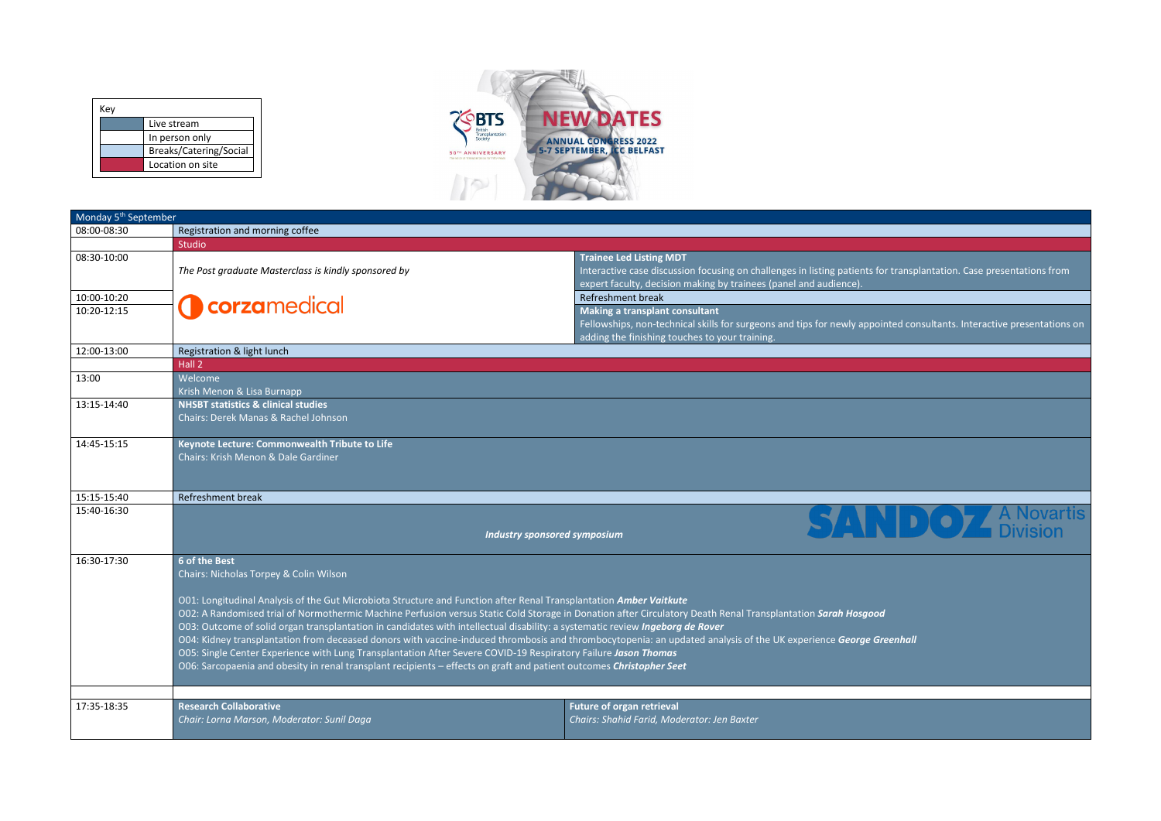| Monday 5 <sup>th</sup> September |                                                                                                                                                                                                                                                                                                                                                                                                                                                                                                                                                                                                                                                                                                                                                                                                                                                                                              |                                                                                  |                                                                                                                                                        |
|----------------------------------|----------------------------------------------------------------------------------------------------------------------------------------------------------------------------------------------------------------------------------------------------------------------------------------------------------------------------------------------------------------------------------------------------------------------------------------------------------------------------------------------------------------------------------------------------------------------------------------------------------------------------------------------------------------------------------------------------------------------------------------------------------------------------------------------------------------------------------------------------------------------------------------------|----------------------------------------------------------------------------------|--------------------------------------------------------------------------------------------------------------------------------------------------------|
| 08:00-08:30                      | Registration and morning coffee                                                                                                                                                                                                                                                                                                                                                                                                                                                                                                                                                                                                                                                                                                                                                                                                                                                              |                                                                                  |                                                                                                                                                        |
|                                  | <b>Studio</b>                                                                                                                                                                                                                                                                                                                                                                                                                                                                                                                                                                                                                                                                                                                                                                                                                                                                                |                                                                                  |                                                                                                                                                        |
| 08:30-10:00                      | The Post graduate Masterclass is kindly sponsored by                                                                                                                                                                                                                                                                                                                                                                                                                                                                                                                                                                                                                                                                                                                                                                                                                                         | <b>Trainee Led Listing MDT</b>                                                   | Interactive case discussion focusing on challenges in listing patients for transp<br>expert faculty, decision making by trainees (panel and audience). |
| 10:00-10:20                      |                                                                                                                                                                                                                                                                                                                                                                                                                                                                                                                                                                                                                                                                                                                                                                                                                                                                                              | Refreshment break                                                                |                                                                                                                                                        |
| 10:20-12:15                      | <b>Occarge Contract</b>                                                                                                                                                                                                                                                                                                                                                                                                                                                                                                                                                                                                                                                                                                                                                                                                                                                                      | Making a transplant consultant<br>adding the finishing touches to your training. | Fellowships, non-technical skills for surgeons and tips for newly appointed co                                                                         |
| 12:00-13:00                      | Registration & light lunch                                                                                                                                                                                                                                                                                                                                                                                                                                                                                                                                                                                                                                                                                                                                                                                                                                                                   |                                                                                  |                                                                                                                                                        |
|                                  | Hall <sub>2</sub>                                                                                                                                                                                                                                                                                                                                                                                                                                                                                                                                                                                                                                                                                                                                                                                                                                                                            |                                                                                  |                                                                                                                                                        |
| 13:00                            | Welcome<br>Krish Menon & Lisa Burnapp                                                                                                                                                                                                                                                                                                                                                                                                                                                                                                                                                                                                                                                                                                                                                                                                                                                        |                                                                                  |                                                                                                                                                        |
| 13:15-14:40                      | <b>NHSBT statistics &amp; clinical studies</b><br>Chairs: Derek Manas & Rachel Johnson                                                                                                                                                                                                                                                                                                                                                                                                                                                                                                                                                                                                                                                                                                                                                                                                       |                                                                                  |                                                                                                                                                        |
| 14:45-15:15                      | Keynote Lecture: Commonwealth Tribute to Life<br>Chairs: Krish Menon & Dale Gardiner                                                                                                                                                                                                                                                                                                                                                                                                                                                                                                                                                                                                                                                                                                                                                                                                         |                                                                                  |                                                                                                                                                        |
| 15:15-15:40                      | <b>Refreshment break</b>                                                                                                                                                                                                                                                                                                                                                                                                                                                                                                                                                                                                                                                                                                                                                                                                                                                                     |                                                                                  |                                                                                                                                                        |
| 15:40-16:30                      |                                                                                                                                                                                                                                                                                                                                                                                                                                                                                                                                                                                                                                                                                                                                                                                                                                                                                              | <b>Industry sponsored symposium</b>                                              |                                                                                                                                                        |
| 16:30-17:30                      | 6 of the Best<br>Chairs: Nicholas Torpey & Colin Wilson<br>O01: Longitudinal Analysis of the Gut Microbiota Structure and Function after Renal Transplantation Amber Vaitkute<br>O02: A Randomised trial of Normothermic Machine Perfusion versus Static Cold Storage in Donation after Circulatory Death Renal Transplantation Sarah Hosgood<br>O03: Outcome of solid organ transplantation in candidates with intellectual disability: a systematic review Ingeborg de Rover<br>O04: Kidney transplantation from deceased donors with vaccine-induced thrombosis and thrombocytopenia: an updated analysis of the UK experience George Greenhall<br>OO5: Single Center Experience with Lung Transplantation After Severe COVID-19 Respiratory Failure Jason Thomas<br>O06: Sarcopaenia and obesity in renal transplant recipients - effects on graft and patient outcomes Christopher Seet |                                                                                  |                                                                                                                                                        |
| 17:35-18:35                      | <b>Research Collaborative</b><br>Chair: Lorna Marson, Moderator: Sunil Daga                                                                                                                                                                                                                                                                                                                                                                                                                                                                                                                                                                                                                                                                                                                                                                                                                  | <b>Future of organ retrieval</b><br>Chairs: Shahid Farid, Moderator: Jen Baxter  |                                                                                                                                                        |

for transplantation. Case presentations from pinted consultants. Interactive presentations on **DOZ** A Novartis

| Key                    |  |
|------------------------|--|
| Live stream            |  |
| In person only         |  |
| Breaks/Catering/Social |  |
| Location on site       |  |

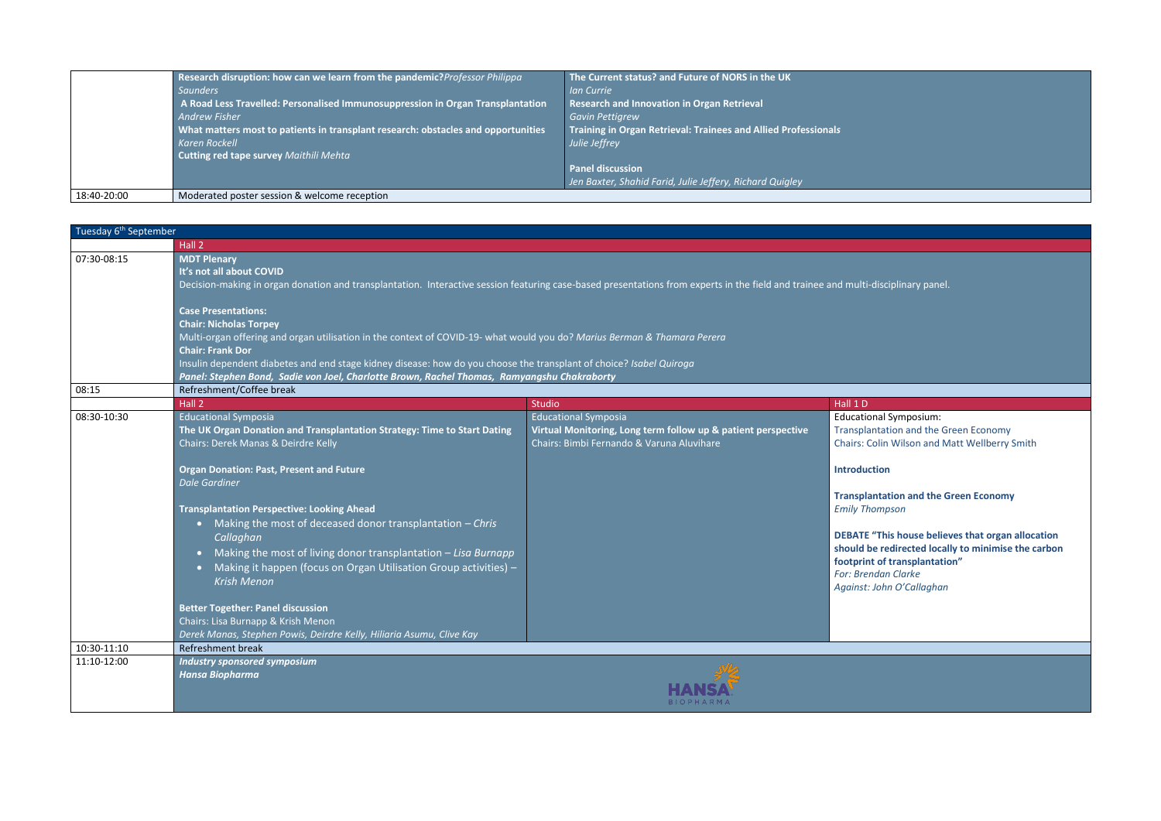|             | Research disruption: how can we learn from the pandemic? Professor Philippa<br>Saunders<br>A Road Less Travelled: Personalised Immunosuppression in Organ Transplantation<br><b>Andrew Fisher</b><br>What matters most to patients in transplant research: obstacles and opportunities<br>Karen Rockell<br>Cutting red tape survey Maithili Mehta | The Current status? and Future of NORS in the UK<br><b>Ian Currie</b><br><b>Research and Innovation in Organ Retrieval</b><br><b>Gavin Pettigrew</b><br>Training in Organ Retrieval: Trainees and Allied Professionals<br>Julie Jeffrey<br><b>Panel discussion</b> |
|-------------|---------------------------------------------------------------------------------------------------------------------------------------------------------------------------------------------------------------------------------------------------------------------------------------------------------------------------------------------------|--------------------------------------------------------------------------------------------------------------------------------------------------------------------------------------------------------------------------------------------------------------------|
| 18:40-20:00 | Moderated poster session & welcome reception                                                                                                                                                                                                                                                                                                      | Jen Baxter, Shahid Farid, Julie Jeffery, Richard Quigley                                                                                                                                                                                                           |

**This house believes that organ allocation should redirected locally to minimise the carbon footherminal of transplantation"** *For: Brendan Clarke Against: John O'Callaghan*

| Tuesday 6 <sup>th</sup> September |                                                                                                                                                                                                                                                                                                                                                                                                                                                                                                                                                                                                                 |                                                                                                                                                        |                                                                                                                                                                                                                                                                                                                                           |  |  |
|-----------------------------------|-----------------------------------------------------------------------------------------------------------------------------------------------------------------------------------------------------------------------------------------------------------------------------------------------------------------------------------------------------------------------------------------------------------------------------------------------------------------------------------------------------------------------------------------------------------------------------------------------------------------|--------------------------------------------------------------------------------------------------------------------------------------------------------|-------------------------------------------------------------------------------------------------------------------------------------------------------------------------------------------------------------------------------------------------------------------------------------------------------------------------------------------|--|--|
|                                   | Hall <sub>2</sub>                                                                                                                                                                                                                                                                                                                                                                                                                                                                                                                                                                                               |                                                                                                                                                        |                                                                                                                                                                                                                                                                                                                                           |  |  |
| 07:30-08:15                       | <b>MDT Plenary</b><br>It's not all about COVID<br>Decision-making in organ donation and transplantation. Interactive session featuring case-based presentations from experts in the field and trainee and multi-disciplinary panel.                                                                                                                                                                                                                                                                                                                                                                             |                                                                                                                                                        |                                                                                                                                                                                                                                                                                                                                           |  |  |
|                                   | <b>Chair: Nicholas Torpey</b>                                                                                                                                                                                                                                                                                                                                                                                                                                                                                                                                                                                   | <b>Case Presentations:</b><br>Multi-organ offering and organ utilisation in the context of COVID-19- what would you do? Marius Berman & Thamara Perera |                                                                                                                                                                                                                                                                                                                                           |  |  |
|                                   | <b>Chair: Frank Dor</b><br>Insulin dependent diabetes and end stage kidney disease: how do you choose the transplant of choice? Isabel Quiroga                                                                                                                                                                                                                                                                                                                                                                                                                                                                  |                                                                                                                                                        |                                                                                                                                                                                                                                                                                                                                           |  |  |
|                                   | Panel: Stephen Bond, Sadie von Joel, Charlotte Brown, Rachel Thomas, Ramyangshu Chakraborty                                                                                                                                                                                                                                                                                                                                                                                                                                                                                                                     |                                                                                                                                                        |                                                                                                                                                                                                                                                                                                                                           |  |  |
| 08:15                             | Refreshment/Coffee break                                                                                                                                                                                                                                                                                                                                                                                                                                                                                                                                                                                        |                                                                                                                                                        |                                                                                                                                                                                                                                                                                                                                           |  |  |
|                                   | Hall <sub>2</sub>                                                                                                                                                                                                                                                                                                                                                                                                                                                                                                                                                                                               | Studio                                                                                                                                                 | Hall 1 D                                                                                                                                                                                                                                                                                                                                  |  |  |
| 08:30-10:30                       | Educational Symposia<br>The UK Organ Donation and Transplantation Strategy: Time to Start Dating<br>Chairs: Derek Manas & Deirdre Kelly<br><b>Organ Donation: Past, Present and Future</b><br><b>Dale Gardiner</b><br><b>Transplantation Perspective: Looking Ahead</b><br>• Making the most of deceased donor transplantation - Chris<br>Callaghan<br>Making the most of living donor transplantation $-Lisa$ Burnapp<br>$\bullet$<br>Making it happen (focus on Organ Utilisation Group activities) -<br><b>Krish Menon</b><br><b>Better Together: Panel discussion</b><br>Chairs: Lisa Burnapp & Krish Menon | <b>Educational Symposia</b><br>Virtual Monitoring, Long term follow up & patient perspective<br>Chairs: Bimbi Fernando & Varuna Aluvihare              | <b>Educational Symposium:</b><br><b>Transplantation and the Gr</b><br>Chairs: Colin Wilson and M<br><b>Introduction</b><br><b>Transplantation and the G</b><br><b>Emily Thompson</b><br><b>DEBATE "This house believ</b><br>should be redirected local<br>footprint of transplantatio<br>For: Brendan Clarke<br>Against: John O'Callaghan |  |  |
| 10:30-11:10                       | Derek Manas, Stephen Powis, Deirdre Kelly, Hiliaria Asumu, Clive Kay<br><b>Refreshment break</b>                                                                                                                                                                                                                                                                                                                                                                                                                                                                                                                |                                                                                                                                                        |                                                                                                                                                                                                                                                                                                                                           |  |  |
| 11:10-12:00                       | <b>Industry sponsored symposium</b>                                                                                                                                                                                                                                                                                                                                                                                                                                                                                                                                                                             |                                                                                                                                                        |                                                                                                                                                                                                                                                                                                                                           |  |  |
|                                   | <b>Hansa Biopharma</b>                                                                                                                                                                                                                                                                                                                                                                                                                                                                                                                                                                                          | B   O P H A R M                                                                                                                                        |                                                                                                                                                                                                                                                                                                                                           |  |  |

nal Symposium: ntation and the Green Economy Colin Wilson and Matt Wellberry Smith

**Transplantation and the Green Economy**  *Emily Thompson*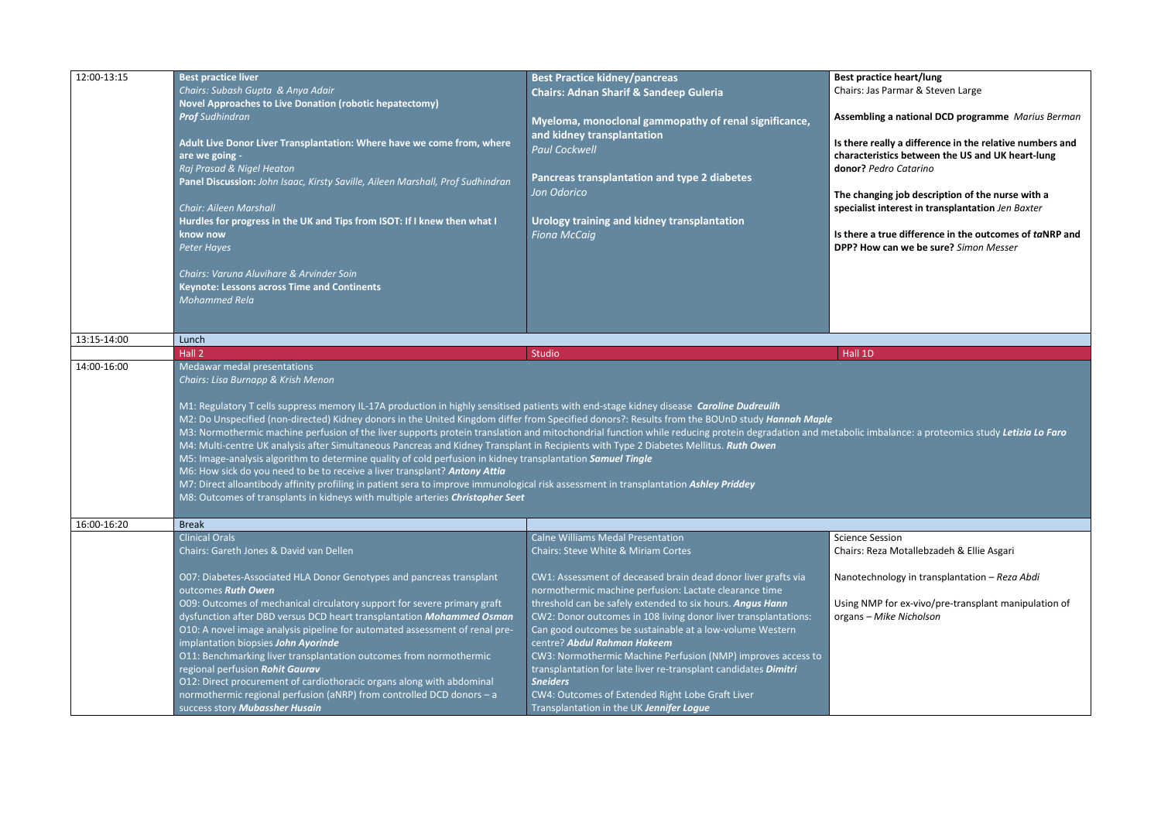| 12:00-13:15 | <b>Best practice liver</b>                                                                                                                                                                                                                                                                                                         | <b>Best Practice kidney/pancreas</b>                                                         | <b>Best praction</b>                                                               |
|-------------|------------------------------------------------------------------------------------------------------------------------------------------------------------------------------------------------------------------------------------------------------------------------------------------------------------------------------------|----------------------------------------------------------------------------------------------|------------------------------------------------------------------------------------|
|             | Chairs: Subash Gupta & Anya Adair                                                                                                                                                                                                                                                                                                  | <b>Chairs: Adnan Sharif &amp; Sandeep Guleria</b>                                            | Chairs: Jas I                                                                      |
|             | <b>Novel Approaches to Live Donation (robotic hepatectomy)</b>                                                                                                                                                                                                                                                                     |                                                                                              |                                                                                    |
|             | <b>Prof</b> Sudhindran                                                                                                                                                                                                                                                                                                             | Myeloma, monoclonal gammopathy of renal significance,                                        | Assembling                                                                         |
|             |                                                                                                                                                                                                                                                                                                                                    | and kidney transplantation                                                                   |                                                                                    |
|             | Adult Live Donor Liver Transplantation: Where have we come from, where                                                                                                                                                                                                                                                             | <b>Paul Cockwell</b>                                                                         | Is there rea                                                                       |
|             | are we going -                                                                                                                                                                                                                                                                                                                     |                                                                                              | characteris                                                                        |
|             | Raj Prasad & Nigel Heaton                                                                                                                                                                                                                                                                                                          |                                                                                              | donor? Pea                                                                         |
|             | Panel Discussion: John Isaac, Kirsty Saville, Aileen Marshall, Prof Sudhindran                                                                                                                                                                                                                                                     | Pancreas transplantation and type 2 diabetes                                                 |                                                                                    |
|             |                                                                                                                                                                                                                                                                                                                                    | Jon Odorico                                                                                  | The changi                                                                         |
|             | <b>Chair: Aileen Marshall</b>                                                                                                                                                                                                                                                                                                      |                                                                                              | specialist ir                                                                      |
|             | Hurdles for progress in the UK and Tips from ISOT: If I knew then what I                                                                                                                                                                                                                                                           | Urology training and kidney transplantation                                                  |                                                                                    |
|             | know now                                                                                                                                                                                                                                                                                                                           | <b>Fiona McCaig</b>                                                                          | Is there a ti                                                                      |
|             | <b>Peter Hayes</b>                                                                                                                                                                                                                                                                                                                 |                                                                                              | <b>DPP? How</b>                                                                    |
|             |                                                                                                                                                                                                                                                                                                                                    |                                                                                              |                                                                                    |
|             | Chairs: Varuna Aluvihare & Arvinder Soin                                                                                                                                                                                                                                                                                           |                                                                                              |                                                                                    |
|             | <b>Keynote: Lessons across Time and Continents</b>                                                                                                                                                                                                                                                                                 |                                                                                              |                                                                                    |
|             | Mohammed Rela                                                                                                                                                                                                                                                                                                                      |                                                                                              |                                                                                    |
|             |                                                                                                                                                                                                                                                                                                                                    |                                                                                              |                                                                                    |
|             |                                                                                                                                                                                                                                                                                                                                    |                                                                                              |                                                                                    |
| 13:15-14:00 | Lunch                                                                                                                                                                                                                                                                                                                              |                                                                                              |                                                                                    |
|             | Hall 2                                                                                                                                                                                                                                                                                                                             | Studio                                                                                       | Hall 1D                                                                            |
| 14:00-16:00 | Medawar medal presentations                                                                                                                                                                                                                                                                                                        |                                                                                              |                                                                                    |
|             | Chairs: Lisa Burnapp & Krish Menon                                                                                                                                                                                                                                                                                                 |                                                                                              |                                                                                    |
|             | M3: Normothermic machine perfusion of the liver supports protein translation and mitochondrial function while reducing protein degradation and metabolic imb<br>M4: Multi-centre UK analysis after Simultaneous Pancreas and Kidney Transplant in Recipients with Type 2 Diabetes Mellitus. Ruth Owen                              |                                                                                              |                                                                                    |
|             | M5: Image-analysis algorithm to determine quality of cold perfusion in kidney transplantation Samuel Tingle<br>M6: How sick do you need to be to receive a liver transplant? Antony Attia<br>M7: Direct alloantibody affinity profiling in patient sera to improve immunological risk assessment in transplantation Ashley Priddey |                                                                                              |                                                                                    |
| 16:00-16:20 | M8: Outcomes of transplants in kidneys with multiple arteries Christopher Seet                                                                                                                                                                                                                                                     |                                                                                              |                                                                                    |
|             | <b>Break</b>                                                                                                                                                                                                                                                                                                                       |                                                                                              |                                                                                    |
|             | <b>Clinical Orals</b>                                                                                                                                                                                                                                                                                                              | <b>Calne Williams Medal Presentation</b>                                                     |                                                                                    |
|             | Chairs: Gareth Jones & David van Dellen                                                                                                                                                                                                                                                                                            | <b>Chairs: Steve White &amp; Miriam Cortes</b>                                               |                                                                                    |
|             |                                                                                                                                                                                                                                                                                                                                    |                                                                                              |                                                                                    |
|             | O07: Diabetes-Associated HLA Donor Genotypes and pancreas transplant                                                                                                                                                                                                                                                               | CW1: Assessment of deceased brain dead donor liver grafts via                                |                                                                                    |
|             | outcomes Ruth Owen                                                                                                                                                                                                                                                                                                                 | normothermic machine perfusion: Lactate clearance time                                       |                                                                                    |
|             |                                                                                                                                                                                                                                                                                                                                    | threshold can be safely extended to six hours. Angus Hann                                    |                                                                                    |
|             | O09: Outcomes of mechanical circulatory support for severe primary graft<br>dysfunction after DBD versus DCD heart transplantation Mohammed Osman                                                                                                                                                                                  | CW2: Donor outcomes in 108 living donor liver transplantations:                              |                                                                                    |
|             | O10: A novel image analysis pipeline for automated assessment of renal pre-                                                                                                                                                                                                                                                        | Can good outcomes be sustainable at a low-volume Western                                     |                                                                                    |
|             |                                                                                                                                                                                                                                                                                                                                    | centre? Abdul Rahman Hakeem                                                                  |                                                                                    |
|             | implantation biopsies John Ayorinde                                                                                                                                                                                                                                                                                                |                                                                                              |                                                                                    |
|             | O11: Benchmarking liver transplantation outcomes from normothermic                                                                                                                                                                                                                                                                 | CW3: Normothermic Machine Perfusion (NMP) improves access to                                 |                                                                                    |
|             | regional perfusion Rohit Gaurav                                                                                                                                                                                                                                                                                                    | transplantation for late liver re-transplant candidates Dimitri                              |                                                                                    |
|             | O12: Direct procurement of cardiothoracic organs along with abdominal                                                                                                                                                                                                                                                              | <b>Sneiders</b>                                                                              |                                                                                    |
|             | normothermic regional perfusion (aNRP) from controlled DCD donors - a<br>success story Mubassher Husain                                                                                                                                                                                                                            | CW4: Outcomes of Extended Right Lobe Graft Liver<br>Transplantation in the UK Jennifer Logue | <b>Science Ses</b><br>Chairs: Reza<br>Nanotechn<br><b>Using NMP</b><br>organs $-M$ |

**Beart/lung** Parmar & Steven Large **Assembling a national DCD programme** *Marius Berman* **Is there really a difference in the relative numbers and characteristics between the US and UK heart-lung donor?** *Pedro Catarino* **The changing job description of the nurse with a specialist interest in transplantation** *Jen Baxter* Irue difference in the outcomes of *ta*NRP and **can we be sure?** Simon Messer  $\alpha$ alance: a proteomics study *Letizia Lo Faro* ssion

a Motallebzadeh & Ellie Asgari

If for ex-vivo/pre-transplant manipulation of organs – *Mike Nicholson* 

Nanotechnology in transplantation – *Reza Abdi*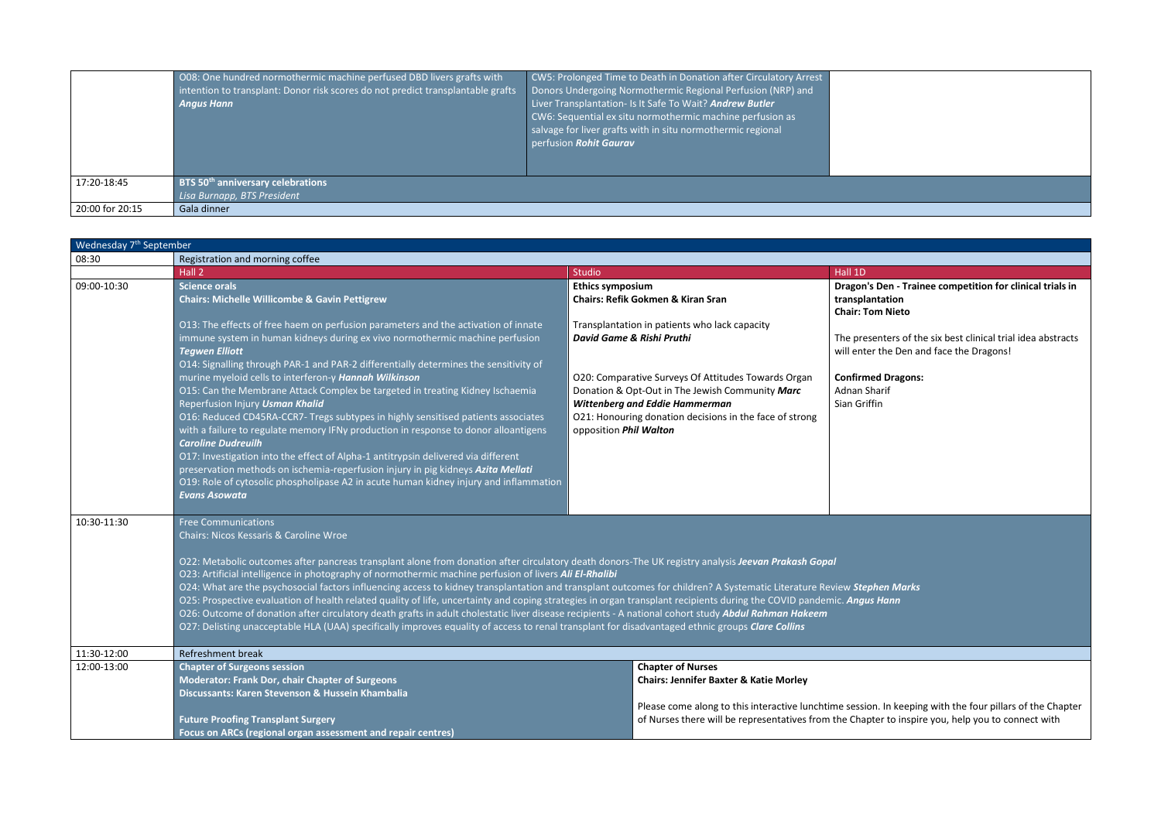|                 | OO8: One hundred normothermic machine perfused DBD livers grafts with<br>intention to transplant: Donor risk scores do not predict transplantable grafts<br><b>Angus Hann</b> | CW5: Prolonged Time to Death in Donation after Circulatory Arrest<br>Donors Undergoing Normothermic Regional Perfusion (NRP) and<br>Liver Transplantation- Is It Safe To Wait? Andrew Butler<br>CW6: Sequential ex situ normothermic machine perfusion as<br>salvage for liver grafts with in situ normothermic regional<br>perfusion Rohit Gaurav |  |
|-----------------|-------------------------------------------------------------------------------------------------------------------------------------------------------------------------------|----------------------------------------------------------------------------------------------------------------------------------------------------------------------------------------------------------------------------------------------------------------------------------------------------------------------------------------------------|--|
| 17:20-18:45     | BTS 50 <sup>th</sup> anniversary celebrations                                                                                                                                 |                                                                                                                                                                                                                                                                                                                                                    |  |
| 20:00 for 20:15 | Lisa Burnapp, BTS President<br>Gala dinner                                                                                                                                    |                                                                                                                                                                                                                                                                                                                                                    |  |

**Confirmed Dragons:** arif

. In keeping with the four pillars of the Chapter er to inspire you, help you to connect with

| Wednesday 7 <sup>th</sup> September |                                                                                                                                                                        |                                                                                                        |                                          |  |
|-------------------------------------|------------------------------------------------------------------------------------------------------------------------------------------------------------------------|--------------------------------------------------------------------------------------------------------|------------------------------------------|--|
| 08:30                               | Registration and morning coffee                                                                                                                                        |                                                                                                        |                                          |  |
|                                     | Hall 2                                                                                                                                                                 | <b>Studio</b>                                                                                          | Hall 1D                                  |  |
| 09:00-10:30                         | <b>Science orals</b>                                                                                                                                                   | <b>Ethics symposium</b>                                                                                | Dragon's Den - Trai                      |  |
|                                     | <b>Chairs: Michelle Willicombe &amp; Gavin Pettigrew</b>                                                                                                               | <b>Chairs: Refik Gokmen &amp; Kiran Sran</b>                                                           | transplantation                          |  |
|                                     |                                                                                                                                                                        |                                                                                                        | <b>Chair: Tom Nieto</b>                  |  |
|                                     | O13: The effects of free haem on perfusion parameters and the activation of innate                                                                                     | Transplantation in patients who lack capacity                                                          |                                          |  |
|                                     | immune system in human kidneys during ex vivo normothermic machine perfusion                                                                                           | David Game & Rishi Pruthi                                                                              | The presenters of th                     |  |
|                                     | <b>Tegwen Elliott</b>                                                                                                                                                  |                                                                                                        | will enter the Den a                     |  |
|                                     | O14: Signalling through PAR-1 and PAR-2 differentially determines the sensitivity of                                                                                   |                                                                                                        |                                          |  |
|                                     | murine myeloid cells to interferon-y Hannah Wilkinson<br>O15: Can the Membrane Attack Complex be targeted in treating Kidney Ischaemia                                 | O20: Comparative Surveys Of Attitudes Towards Organ<br>Donation & Opt-Out in The Jewish Community Marc | <b>Confirmed Dragons</b><br>Adnan Sharif |  |
|                                     | Reperfusion Injury Usman Khalid                                                                                                                                        | <b>Wittenberg and Eddie Hammerman</b>                                                                  | Sian Griffin                             |  |
|                                     | O16: Reduced CD45RA-CCR7- Tregs subtypes in highly sensitised patients associates                                                                                      | O21: Honouring donation decisions in the face of strong                                                |                                          |  |
|                                     | with a failure to regulate memory IFNy production in response to donor alloantigens                                                                                    | opposition Phil Walton                                                                                 |                                          |  |
|                                     | <b>Caroline Dudreuilh</b>                                                                                                                                              |                                                                                                        |                                          |  |
|                                     | O17: Investigation into the effect of Alpha-1 antitrypsin delivered via different                                                                                      |                                                                                                        |                                          |  |
|                                     | preservation methods on ischemia-reperfusion injury in pig kidneys Azita Mellati                                                                                       |                                                                                                        |                                          |  |
|                                     | O19: Role of cytosolic phospholipase A2 in acute human kidney injury and inflammation                                                                                  |                                                                                                        |                                          |  |
|                                     | <b>Evans Asowata</b>                                                                                                                                                   |                                                                                                        |                                          |  |
| 10:30-11:30                         | <b>Free Communications</b>                                                                                                                                             |                                                                                                        |                                          |  |
|                                     | Chairs: Nicos Kessaris & Caroline Wroe                                                                                                                                 |                                                                                                        |                                          |  |
|                                     | O22: Metabolic outcomes after pancreas transplant alone from donation after circulatory death donors-The UK registry analysis Jeevan Prakash Gopal                     |                                                                                                        |                                          |  |
|                                     | O23: Artificial intelligence in photography of normothermic machine perfusion of livers Ali El-Rhalibi                                                                 |                                                                                                        |                                          |  |
|                                     | O24: What are the psychosocial factors influencing access to kidney transplantation and transplant outcomes for children? A Systematic Literature Review Stephen Marks |                                                                                                        |                                          |  |
|                                     | O25: Prospective evaluation of health related quality of life, uncertainty and coping strategies in organ transplant recipients during the COVID pandemic. Angus Hann  |                                                                                                        |                                          |  |
|                                     | O26: Outcome of donation after circulatory death grafts in adult cholestatic liver disease recipients - A national cohort study Abdul Rahman Hakeem                    |                                                                                                        |                                          |  |
|                                     | O27: Delisting unacceptable HLA (UAA) specifically improves equality of access to renal transplant for disadvantaged ethnic groups Clare Collins                       |                                                                                                        |                                          |  |
| 11:30-12:00                         | Refreshment break                                                                                                                                                      |                                                                                                        |                                          |  |
| 12:00-13:00                         | <b>Chapter of Surgeons session</b>                                                                                                                                     | <b>Chapter of Nurses</b>                                                                               |                                          |  |
|                                     | <b>Moderator: Frank Dor, chair Chapter of Surgeons</b>                                                                                                                 | <b>Chairs: Jennifer Baxter &amp; Katie Morley</b>                                                      |                                          |  |
|                                     | Discussants: Karen Stevenson & Hussein Khambalia                                                                                                                       |                                                                                                        |                                          |  |
|                                     | Please come along to this interactive lunchtime session. In keepir                                                                                                     |                                                                                                        |                                          |  |
|                                     | of Nurses there will be representatives from the Chapter to inspi<br><b>Future Proofing Transplant Surgery</b>                                                         |                                                                                                        |                                          |  |
|                                     | Focus on ARCs (regional organ assessment and repair centres)                                                                                                           |                                                                                                        |                                          |  |